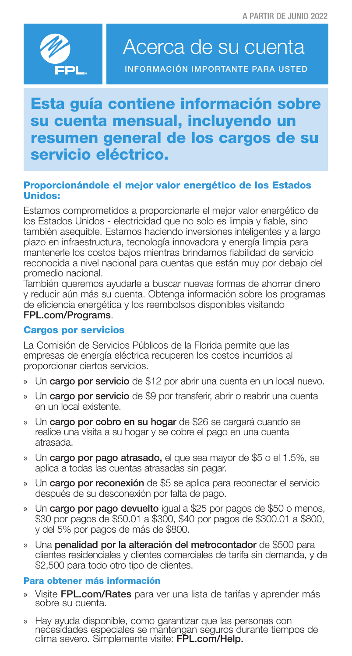

# Acerca de su cuenta

INFORMACIÓN IMPORTANTE PARA USTED

## Esta guía contiene información sobre su cuenta mensual, incluyendo un resumen general de los cargos de su servicio eléctrico.

### Proporcionándole el mejor valor energético de los Estados Unidos:

Estamos comprometidos a proporcionarle el mejor valor energético de los Estados Unidos - electricidad que no solo es limpia y fiable, sino también asequible. Estamos haciendo inversiones inteligentes y a largo plazo en infraestructura, tecnología innovadora y energía limpia para mantenerle los costos bajos mientras brindamos fiabilidad de servicio reconocida a nivel nacional para cuentas que están muy por debajo del promedio nacional.

También queremos ayudarle a buscar nuevas formas de ahorrar dinero y reducir aún más su cuenta. Obtenga información sobre los programas de eficiencia energética y los reembolsos disponibles visitando FPL.com/Programs.

#### Cargos por servicios

La Comisión de Servicios Públicos de la Florida permite que las empresas de energía eléctrica recuperen los costos incurridos al proporcionar ciertos servicios.

- » Un cargo por servicio de \$12 por abrir una cuenta en un local nuevo.
- » Un **cargo por servicio** de \$9 por transferir, abrir o reabrir una cuenta en un local existente.
- » Un cargo por cobro en su hogar de \$26 se cargará cuando se realice una visita a su hogar y se cobre el pago en una cuenta atrasada.
- » Un cargo por pago atrasado, el que sea mayor de \$5 o el 1.5%, se aplica a todas las cuentas atrasadas sin pagar.
- » Un cargo por reconexión de \$5 se aplica para reconectar el servicio después de su desconexión por falta de pago.
- » Un cargo por pago devuelto igual a \$25 por pagos de \$50 o menos, \$30 por pagos de \$50.01 a \$300, \$40 por pagos de \$300.01 a \$800, y del 5% por pagos de más de \$800.
- » Una penalidad por la alteración del metrocontador de \$500 para clientes residenciales y clientes comerciales de tarifa sin demanda, y de \$2,500 para todo otro tipo de clientes.

#### Para obtener más información

- » Visite FPL.com/Rates para ver una lista de tarifas y aprender más sobre su cuenta.
- » Hay ayuda disponible, como garantizar que las personas con nećesidades especiales se mantengan seguros durante tiempos de<br>clima severo. Simplemente visite: **FPL.com/Help.**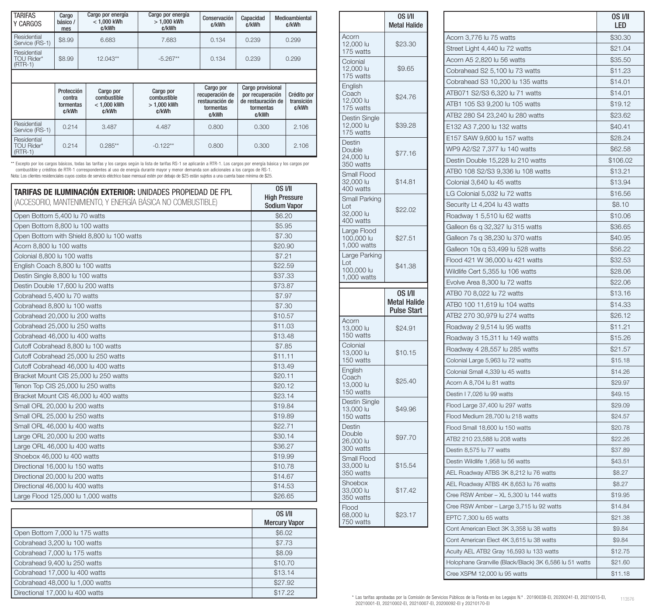| <b>TARIFAS</b><br>Y CARGOS             | Cargo<br>básico /<br>mes | Cargo por energía<br>$<$ 1.000 kWh<br>c/kWh | Cargo por energía<br>$>1.000$ kWh<br>c/kWh | Conservación<br>c/kWh | Capacidad<br>c/kWh | Medioambiental<br>c/kWh |
|----------------------------------------|--------------------------|---------------------------------------------|--------------------------------------------|-----------------------|--------------------|-------------------------|
| Residential<br>Service (RS-1)          | \$8.99                   | 6.683                                       | 7.683                                      | 0.134                 | 0.239              | 0.299                   |
| Residential<br>TOU Rider*<br>$(RTR-1)$ | \$8.99                   | 12.043**                                    | $-5.267**$                                 | 0.134                 | 0.239              | 0.299                   |

|                                        | Protección<br>contra<br>tormentas<br>c/kWh | Cargo por<br>combustible<br>$<$ 1.000 kWh<br>c/kWh | Cargo por<br>combustible<br>$>1.000$ kWh<br>c/kWh | Cargo por<br>recuperación de<br>restauración de<br>tormentas<br>c/kWh | Cargo provisional<br>por recuperación<br>de restauración de<br>tormentas<br>c/kWh | Crédito por<br>transición<br>c/kWh |
|----------------------------------------|--------------------------------------------|----------------------------------------------------|---------------------------------------------------|-----------------------------------------------------------------------|-----------------------------------------------------------------------------------|------------------------------------|
| Residential<br>Service (RS-1)          | 0.214                                      | 3.487                                              | 4.487                                             | 0.800                                                                 | 0.300                                                                             | 2.106                              |
| Residential<br>TOU Rider*<br>$(RTR-1)$ | 0.214                                      | $0.285**$                                          | $-0.122**$                                        | 0.800                                                                 | 0.300                                                                             | 2.106                              |

\*\* Excepto por los cargos básicos, todas las tarifas y los cargos según la lista de tarifas RS-1 se aplicarán a RTR-1. Los cargos por energía básica y los cargos por<br>© combustible y créditos de RTR-1 correspondentes al uso

| <b>TARIFAS DE ILUMINACIÓN EXTERIOR: UNIDADES PROPIEDAD DE FPL</b><br>(ACCESORIO, MANTENIMIENTO, Y ENERGÍA BÁSICA NO COMBUSTIBLE) | OS I/II<br><b>High Pressure</b><br><b>Sodium Vapor</b> |
|----------------------------------------------------------------------------------------------------------------------------------|--------------------------------------------------------|
| Open Bottom 5,400 lu 70 watts                                                                                                    | \$6.20                                                 |
| Open Bottom 8,800 lu 100 watts                                                                                                   | \$5.95                                                 |
| Open Bottom with Shield 8,800 lu 100 watts                                                                                       | \$7.30                                                 |
| Acorn 8,800 lu 100 watts                                                                                                         | \$20.90                                                |
| Colonial 8,800 lu 100 watts                                                                                                      | \$7.21                                                 |
| English Coach 8,800 lu 100 watts                                                                                                 | \$22.59                                                |
| Destin Single 8,800 lu 100 watts                                                                                                 | \$37.33                                                |
| Destin Double 17,600 lu 200 watts                                                                                                | \$73.87                                                |
| Cobrahead 5,400 lu 70 watts                                                                                                      | \$7.97                                                 |
| Cobrahead 8,800 lu 100 watts                                                                                                     | \$7.30                                                 |
| Cobrahead 20,000 lu 200 watts                                                                                                    | \$10.57                                                |
| Cobrahead 25,000 lu 250 watts                                                                                                    | \$11.03                                                |
| Cobrahead 46,000 lu 400 watts                                                                                                    | \$13.48                                                |
| Cutoff Cobrahead 8,800 lu 100 watts                                                                                              | \$7.85                                                 |
| Cutoff Cobrahead 25,000 lu 250 watts                                                                                             | \$11.11                                                |
| Cutoff Cobrahead 46,000 lu 400 watts                                                                                             | \$13.49                                                |
| Bracket Mount CIS 25,000 lu 250 watts                                                                                            | \$20.11                                                |
| Tenon Top CIS 25,000 lu 250 watts                                                                                                | \$20.12                                                |
| Bracket Mount CIS 46,000 lu 400 watts                                                                                            | \$23.14                                                |
| Small ORL 20,000 lu 200 watts                                                                                                    | \$19.84                                                |
| Small ORL 25,000 lu 250 watts                                                                                                    | \$19.89                                                |
| Small ORL 46,000 lu 400 watts                                                                                                    | \$22.71                                                |
| Large ORL 20,000 lu 200 watts                                                                                                    | \$30.14                                                |
| Large ORL 46,000 lu 400 watts                                                                                                    | \$36.27                                                |
| Shoebox 46,000 lu 400 watts                                                                                                      | \$19.99                                                |
| Directional 16,000 lu 150 watts                                                                                                  | \$10.78                                                |
| Directional 20,000 lu 200 watts                                                                                                  | \$14.67                                                |
| Directional 46,000 lu 400 watts                                                                                                  | \$14.53                                                |
| Large Flood 125,000 lu 1,000 watts                                                                                               | \$26.65                                                |

|                                 | <b>OS I/II</b><br><b>Mercury Vapor</b> |
|---------------------------------|----------------------------------------|
| Open Bottom 7,000 lu 175 watts  | \$6.02                                 |
| Cobrahead 3,200 lu 100 watts    | \$7.73                                 |
| Cobrahead 7,000 lu 175 watts    | \$8.09                                 |
| Cobrahead 9.400 lu 250 watts    | \$10.70                                |
| Cobrahead 17,000 lu 400 watts   | \$13.14                                |
| Cobrahead 48,000 lu 1,000 watts | \$27.92                                |
| Directional 17,000 lu 400 watts | \$17.22                                |

|                                                   | OS I/II<br><b>Metal Halide</b>                       |
|---------------------------------------------------|------------------------------------------------------|
| Acorn<br>12,000 lu<br>175 watts                   | \$23.30                                              |
| Colonial<br>12,000 lu<br>175 watts                | \$9.65                                               |
| English<br>Coach<br>12,000 lu<br>175 watts        | \$24.76                                              |
| Destin Single<br>12,000 lu<br>175 watts           | \$39.28                                              |
| Destin<br>Double<br>24,000 lu<br>350 watts        | \$77.16                                              |
| Small Flood<br>32,000 lu<br>400 watts             | \$14.81                                              |
| Small Parking<br>Lot<br>32,000 lu<br>400 watts    | \$22.02                                              |
| Large Flood<br>100,000 lu<br>1,000 watts          | \$27.51                                              |
| Large Parking<br>Lot<br>100,000 lu<br>1,000 watts | \$41.38                                              |
|                                                   |                                                      |
|                                                   | OS I/II<br><b>Metal Halide</b><br><b>Pulse Start</b> |
| Acorn<br>13,000 lu<br>150 watts                   | \$24.91                                              |
| Colonial<br>13,000 lu<br>150 watts                | \$10.15                                              |
| English<br>Coach<br>13,000 lu<br>150 watts        | \$25.40                                              |
| Destin Single<br>13,000 lu<br>150 watts           | \$49.96                                              |
| Destin<br>Double<br>26,000 lu<br>300 watts        | \$97.70                                              |
| Small Flood<br>33,000 lu<br>350 watts             | \$15.54                                              |
| Shoebox<br>33,000 lu<br>350 watts                 | \$17.42                                              |

|                                                        | OS I/II<br>LED |
|--------------------------------------------------------|----------------|
| Acorn 3,776 lu 75 watts                                | \$30.30        |
| Street Light 4,440 lu 72 watts                         | \$21.04        |
| Acorn A5 2,820 lu 56 watts                             | \$35.50        |
| Cobrahead S2 5,100 lu 73 watts                         | \$11.23        |
| Cobrahead S3 10,200 lu 135 watts                       | \$14.01        |
| ATB071 S2/S3 6,320 lu 71 watts                         | \$14.01        |
| ATB1 105 S3 9,200 lu 105 watts                         | \$19.12        |
| ATB2 280 S4 23,240 lu 280 watts                        | \$23.62        |
| E132 A3 7,200 lu 132 watts                             | \$40.41        |
| E157 SAW 9,600 lu 157 watts                            | \$28.24        |
| WP9 A2/S2 7,377 lu 140 watts                           | \$62.58        |
| Destin Double 15,228 lu 210 watts                      | \$106.02       |
| ATB0 108 S2/S3 9,336 lu 108 watts                      | \$13.21        |
| Colonial 3,640 lu 45 watts                             | \$13.94        |
| LG Colonial 5,032 lu 72 watts                          | \$16.56        |
| Security Lt 4,204 lu 43 watts                          | \$8.10         |
| Roadway 1 5,510 lu 62 watts                            | \$10.06        |
| Galleon 6s q 32,327 lu 315 watts                       | \$36.65        |
| Galleon 7s q 38,230 lu 370 watts                       | \$40.95        |
| Galleon 10s q 53,499 lu 528 watts                      | \$56.22        |
| Flood 421 W 36,000 lu 421 watts                        | \$32.53        |
| Wildlife Cert 5,355 lu 106 watts                       | \$28.06        |
| Evolve Area 8,300 lu 72 watts                          | \$22.06        |
| ATB0 70 8,022 lu 72 watts                              | \$13.16        |
| ATB0 100 11,619 lu 104 watts                           | \$14.33        |
| ATB2 270 30,979 lu 274 watts                           | \$26.12        |
| Roadway 2 9,514 lu 95 watts                            | \$11.21        |
| Roadway 3 15,311 lu 149 watts                          | \$15.26        |
| Roadway 4 28,557 lu 285 watts                          | \$21.57        |
| Colonial Large 5,963 lu 72 watts                       | \$15.18        |
| Colonial Small 4,339 lu 45 watts                       | \$14.26        |
| Acorn A 8,704 lu 81 watts                              | \$29.97        |
| Destin I 7,026 lu 99 watts                             | \$49.15        |
| Flood Large 37,400 lu 297 watts                        | \$29.09        |
| Flood Medium 28,700 lu 218 watts                       | \$24.57        |
| Flood Small 18,600 lu 150 watts                        | \$20.78        |
| ATB2 210 23,588 lu 208 watts                           | \$22.26        |
| Destin 8,575 lu 77 watts                               | \$37.89        |
| Destin Wildlife 1,958 lu 56 watts                      | \$43.51        |
| AEL Roadway ATBS 3K 8,212 lu 76 watts                  | \$8.27         |
| AEL Roadway ATBS 4K 8,653 lu 76 watts                  | \$8.27         |
| Cree RSW Amber - XL 5,300 lu 144 watts                 | \$19.95        |
| Cree RSW Amber - Large 3,715 lu 92 watts               | \$14.84        |
| EPTC 7,300 lu 65 watts                                 | \$21.38        |
| Cont American Elect 3K 3,358 lu 38 watts               | \$9.84         |
| Cont American Elect 4K 3,615 lu 38 watts               | \$9.84         |
| Acuity AEL ATB2 Gray 16,593 lu 133 watts               | \$12.75        |
| Holophane Granville (Black/Black) 3K 6,586 lu 51 watts | \$21.60        |
| Cree XSPM 12,000 lu 95 watts                           | \$11.18        |
|                                                        |                |

\* Las tarifas aprobadas por la Comisión de Servicios Públicos de la Florida en los Legajos N.º . 20190038-EI, 20200241-EI, 20210015-EI, 20210015-EI, 20210015-EI, 20210015-EI, 20210015-EI, 20210015-EI, 20210012-EI, 20210002